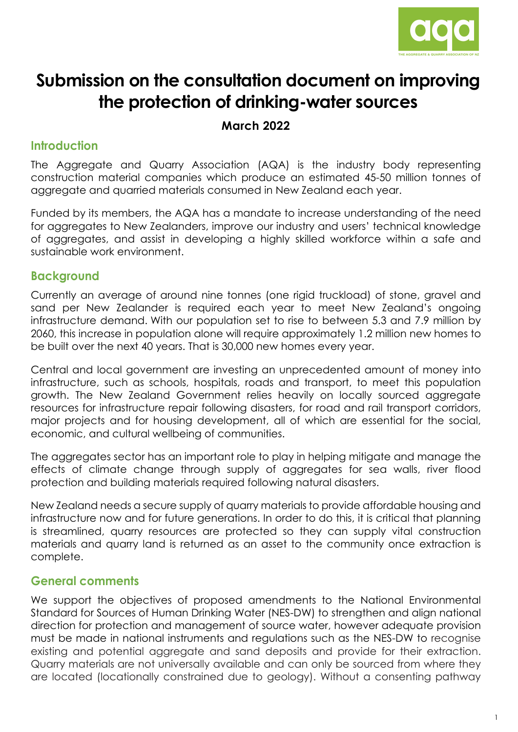

# **Submission on the consultation document on improving the protection of drinking-water sources**

**March 2022**

### **Introduction**

The Aggregate and Quarry Association (AQA) is the industry body representing construction material companies which produce an estimated 45-50 million tonnes of aggregate and quarried materials consumed in New Zealand each year.

Funded by its members, the AQA has a mandate to increase understanding of the need for aggregates to New Zealanders, improve our industry and users' technical knowledge of aggregates, and assist in developing a highly skilled workforce within a safe and sustainable work environment.

### **Background**

Currently an average of around nine tonnes (one rigid truckload) of stone, gravel and sand per New Zealander is required each year to meet New Zealand's ongoing infrastructure demand. With our population set to rise to between 5.3 and 7.9 million by 2060, this increase in population alone will require approximately 1.2 million new homes to be built over the next 40 years. That is 30,000 new homes every year.

Central and local government are investing an unprecedented amount of money into infrastructure, such as schools, hospitals, roads and transport, to meet this population growth. The New Zealand Government relies heavily on locally sourced aggregate resources for infrastructure repair following disasters, for road and rail transport corridors, major projects and for housing development, all of which are essential for the social, economic, and cultural wellbeing of communities.

The aggregates sector has an important role to play in helping mitigate and manage the effects of climate change through supply of aggregates for sea walls, river flood protection and building materials required following natural disasters.

New Zealand needs a secure supply of quarry materials to provide affordable housing and infrastructure now and for future generations. In order to do this, it is critical that planning is streamlined, quarry resources are protected so they can supply vital construction materials and quarry land is returned as an asset to the community once extraction is complete.

## **General comments**

We support the objectives of proposed amendments to the National Environmental Standard for Sources of Human Drinking Water (NES-DW) to strengthen and align national direction for protection and management of source water, however adequate provision must be made in national instruments and regulations such as the NES-DW to recognise existing and potential aggregate and sand deposits and provide for their extraction. Quarry materials are not universally available and can only be sourced from where they are located (locationally constrained due to geology). Without a consenting pathway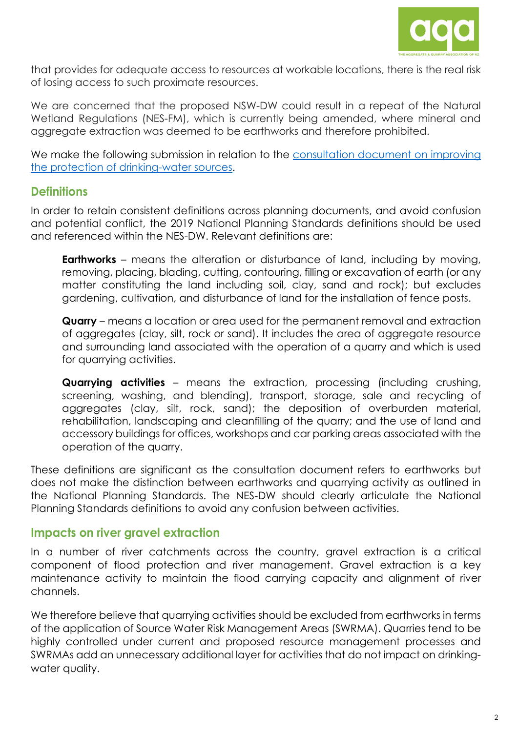

that provides for adequate access to resources at workable locations, there is the real risk of losing access to such proximate resources.

We are concerned that the proposed NSW-DW could result in a repeat of the Natural Wetland Regulations (NES-FM), which is currently being amended, where mineral and aggregate extraction was deemed to be earthworks and therefore prohibited.

We make the following submission in relation to the consultation document on improving the protection of drinking-water sources.

#### **Definitions**

In order to retain consistent definitions across planning documents, and avoid confusion and potential conflict, the 2019 National Planning Standards definitions should be used and referenced within the NES-DW. Relevant definitions are:

**Earthworks** – means the alteration or disturbance of land, including by moving, removing, placing, blading, cutting, contouring, filling or excavation of earth (or any matter constituting the land including soil, clay, sand and rock); but excludes gardening, cultivation, and disturbance of land for the installation of fence posts.

**Quarry** – means a location or area used for the permanent removal and extraction of aggregates (clay, silt, rock or sand). It includes the area of aggregate resource and surrounding land associated with the operation of a quarry and which is used for quarrying activities.

**Quarrying activities** – means the extraction, processing (including crushing, screening, washing, and blending), transport, storage, sale and recycling of aggregates (clay, silt, rock, sand); the deposition of overburden material, rehabilitation, landscaping and cleanfilling of the quarry; and the use of land and accessory buildings for offices, workshops and car parking areas associated with the operation of the quarry.

These definitions are significant as the consultation document refers to earthworks but does not make the distinction between earthworks and quarrying activity as outlined in the National Planning Standards. The NES-DW should clearly articulate the National Planning Standards definitions to avoid any confusion between activities.

#### **Impacts on river gravel extraction**

In a number of river catchments across the country, gravel extraction is a critical component of flood protection and river management. Gravel extraction is a key maintenance activity to maintain the flood carrying capacity and alignment of river channels.

We therefore believe that quarrying activities should be excluded from earthworks in terms of the application of Source Water Risk Management Areas (SWRMA). Quarries tend to be highly controlled under current and proposed resource management processes and SWRMAs add an unnecessary additional layer for activities that do not impact on drinkingwater quality.